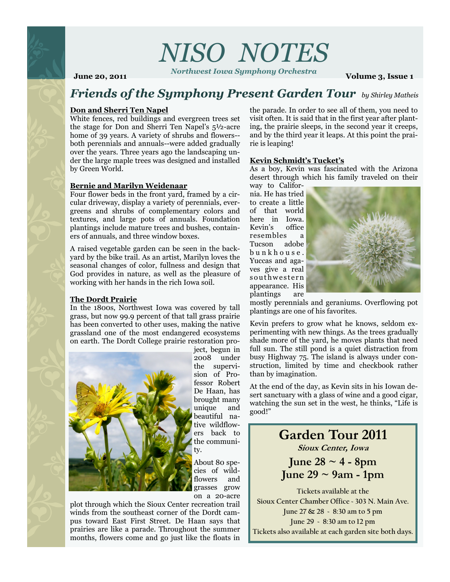# *NISO NOTES*

*Northwest Iowa Symphony Orchestra* **June 20, 2011 Volume 3, Issue 1 Volume 3, Issue 1** 

## *Friends of the Symphony Present Garden Tour by Shirley Matheis*

## **Don and Sherri Ten Napel**

White fences, red buildings and evergreen trees set the stage for Don and Sherri Ten Napel's  $5\frac{1}{2}$ -acre home of 39 years. A variety of shrubs and flowers-both perennials and annuals--were added gradually over the years. Three years ago the landscaping under the large maple trees was designed and installed by Green World.

## **Bernie and Marilyn Weidenaar**

Four flower beds in the front yard, framed by a circular driveway, display a variety of perennials, evergreens and shrubs of complementary colors and textures, and large pots of annuals. Foundation plantings include mature trees and bushes, containers of annuals, and three window boxes.

A raised vegetable garden can be seen in the backyard by the bike trail. As an artist, Marilyn loves the seasonal changes of color, fullness and design that God provides in nature, as well as the pleasure of working with her hands in the rich Iowa soil.

## **The Dordt Prairie**

In the 1800s, Northwest Iowa was covered by tall grass, but now 99.9 percent of that tall grass prairie has been converted to other uses, making the native grassland one of the most endangered ecosystems on earth. The Dordt College prairie restoration pro-



ject, begun in 2008 under the supervision of Professor Robert De Haan, has brought many unique and beautiful native wildflowers back to the community.

About 80 species of wildflowers and grasses grow on a 20-acre

plot through which the Sioux Center recreation trail winds from the southeast corner of the Dordt campus toward East First Street. De Haan says that prairies are like a parade. Throughout the summer months, flowers come and go just like the floats in

the parade. In order to see all of them, you need to visit often. It is said that in the first year after planting, the prairie sleeps, in the second year it creeps, and by the third year it leaps. At this point the prairie is leaping!

### **Kevin Schmidt's Tucket's**

As a boy, Kevin was fascinated with the Arizona desert through which his family traveled on their

way to California. He has tried to create a little of that world here in Iowa. Kevin's office resembles a Tucson adobe b u n k h o u s e . Yuccas and agaves give a real s outhwestern appearance. His plantings are



mostly perennials and geraniums. Overflowing pot plantings are one of his favorites.

Kevin prefers to grow what he knows, seldom experimenting with new things. As the trees gradually shade more of the yard, he moves plants that need full sun. The still pond is a quiet distraction from busy Highway 75. The island is always under construction, limited by time and checkbook rather than by imagination.

At the end of the day, as Kevin sits in his Iowan desert sanctuary with a glass of wine and a good cigar, watching the sun set in the west, he thinks, "Life is good!"

## **Garden Tour 2011 Sioux Center, Iowa**

**June 28 ~ 4 - 8pm June 29 ~ 9am - 1pm**

**Tickets available at the Sioux Center Chamber Office ~ 303 N. Main Ave. June 27 & 28 ~ 8:30 am to 5 pm June 29 ~ 8:30 am to 12 pm Tickets also available at each garden site both days.**